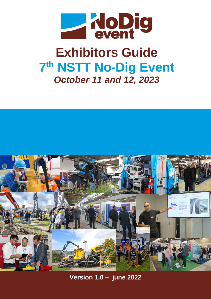

# **Exhibitors Guide 7 th NSTT No-Dig Event**  *October 11 and 12, 2023*



**Version 1.0 – june 2022**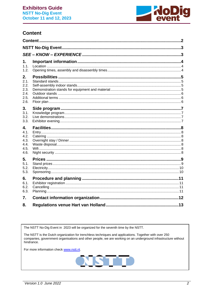

## <span id="page-1-0"></span>**Content**

| 1.<br>1.1.<br>1.2.                                 |  |  |
|----------------------------------------------------|--|--|
| 2.<br>2.1.<br>2.2.<br>2.3.<br>2.4.<br>2.5.<br>2.6. |  |  |
| 3.<br>3.1.<br>3.2.<br>3.3.                         |  |  |
| 4.<br>4.1.<br>4.2.<br>4.3.<br>4.4.<br>4.5.<br>4.6. |  |  |
| 5.<br>5.1.<br>5.2.<br>5.3.                         |  |  |
| 6.<br>6.1.<br>6.2.<br>6.3.                         |  |  |
| 7.                                                 |  |  |
| 8.                                                 |  |  |

The NSTT No-Dig Event in 2023 will be organized for the seventh time by the NSTT.

The NSTT is the Dutch organization for trenchless techniques and applications. Together with over 250 companies, government organisations and other people, we are working on an underground infrastructure without hindrance.

For more information check www.nstt.nl.

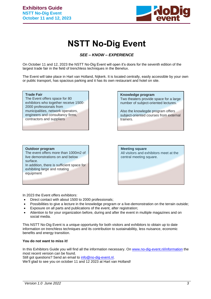

## **NSTT No-Dig Event**

#### *SEE – KNOW – EXPERIENCE*

<span id="page-2-1"></span><span id="page-2-0"></span>On October 11 and 12, 2023 the NSTT No-Dig Event will open it's doors for the seventh edition of the largest trade fair in the field of trenchless techniques in the Benelux.

The Event will take place in Hart van Holland, Nijkerk. It is located centrally, easily accessible by your own or public transport, has spacious parking and it has its own restaurant and hotel on site.

#### **Trade Fair** The Event offers space for 80 exhibitors who together receive 1500- 2000 professionals from municipalities, network operators, engineers and consultancy firms, contractors and suppliers

#### **Knowledge program** Two theaters provide space for a large number of subject-oriented lectures.

Also the knowlegde program offers subject-oriented courses from external trainers.

#### **Outdoor program**

The event offers more than 1000m2 of live demonstrations on and below surface. In addition, there is sufficient space for exhibiting large and rotating equipment

## **Meeting square** All visitors and exhibitors meet at the central meeting square.

In 2023 the Event offers exhibitors:

- Direct contact with about 1500 to 2000 professionals;
- Possibilities to give a lecture in the knowledge program or a live-demonstration on the terrain outside;
- Exposure on all parts and publications of the event, after registration:
- Attention to for your organization before, during and after the event in multiple magazines and on social media.

This NSTT No-Dig Event is a unique opportunity for both visitors and exhibitors to obtain up to date information on trenchless techniques and its contribution to sustainabilitiy, less nuisance, economic benefits and energy transition.

#### **You do not want to miss it!**

In this Exhibitors Guide you will find all the information necessary. On [www.no-dig-event.nl/information](http://www.no-dig-event.nl/information) the most recent version can be found.

Still got questions? Send an email to [info@no-dig-event.nl.](mailto:info@no-dig-event.nl)

We'll glad to see you on october 11 and 12 2023 at Hart van Holland!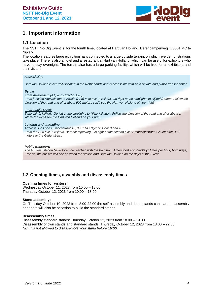

## <span id="page-3-0"></span>**1. Important information**

#### <span id="page-3-1"></span>**1.1.Location**

The NSTT No-Dig Event is, for the fourth time, located at Hart van Holland, Berencamperweg 4, 3861 MC te Nijkerk.

The location features large exhibition halls connected to a large outside terrain, on which live demonstrations take place. There is also a hotel and a restaurant at Hart van Holland, which can be useful for exhibitors who have to stay overnight. The terrain also has a large parking facility, which will be free for all exhibitors and their visitors.

#### *Accessibility:*

*Hart van Holland is centrally located in the Netherlands and is accessible with both private and public transportation.*

#### *By car*

*From Amsterdam (A1) and Utrecht (A28): From junction Hoevelaken to Zwolle (A28) take exit 9, Nijkerk. Go right at the stoplights to Nijkerk/Putten. Follow the direction of the road and after about 900 meters you'll see the Hart van Holland at your right.*

*From Zwolle (A28):*

*Take exit 9, Nijkerk. Go left at the stoplights to Nijkerk/Putten. Follow the direction of the road and after about 1 kilometer you'll see the Hart van Holland on your right.*

#### *Loading and unloading*

*Address: De Loods, Gildenstraat 15, 3861 RG Nijkerk. Door 3 and 4. From the A28 exit 9, Nijkerk. Berencamperweg. Go right at the second exit.: Ambachtsstraat. Go left after 380 meters to the Gildenstraat.* 

*Public transport:*

*The NS train station Nijkerk can be reached with the train from Amersfoort and Zwolle (2 times per hour, both ways) Free shuttle busses will ride between the station and Hart van Holland on the days of the Event.*

#### <span id="page-3-2"></span>**1.2.Opening times, assenbly and disassenbly times**

#### **Opening times for visitors:**

Wednesday October 11, 2023 from 10.00 – 18.00 Thursday October 12, 2023 from 10.00 – 18.00

#### **Stand assembly:**

On Tuesday October 10, 2023 from 8:00-22:00 the self-assembly and demo stands can start the assembly and there will also be occasion to build the standard stands.

#### **Disassembly times:**

Disassembly standard stands: Thursday October 12, 2023 from 18.00 – 19.00 Disassembly of own stands and standard stands: Thursday October 12, 2023 from 18.00 – 22.00 *NB. It is not allowed to disassemble your stand before 18:00.*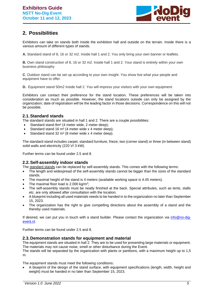

## <span id="page-4-0"></span>**2. Possibilities**

Exhibitors can take on stands both inside the exhibition hall and outside on the terrain. Inside there is a various amount of different types of stands.

**A.** Standard stand of 8, 16 or 32 m2. Inside hall 1 and 2. You only bring your own banner or leaflets.

**B.** Own stand construction of 8, 16 or 32 m2. Inside hall 1 and 2. Your stand is entirely within your own business philosophy

**C**. Outdoor stand can be set up according to your own insight. You show live what your people and equipment have to offer.

**D.** Equipment stand 50m2 Inside hall 2. You will impress your visitors with your own equipment.

Exhibitors can contact their preference for the stand location. These preferences will be taken into consideration as much as possible. However, the stand locations outside can only be assigned by the organization; date of registration will be the leading factor in those decisions. Correspondence on this will not be possible.

#### <span id="page-4-1"></span>**2.1.Standard stands**

The standard stands are situated in hall 1 and 2. There are a couple possibilities:

- Standard stand 8m<sup>2</sup> (4 meter wide, 2 meter deep);
- Standard stand 16  $m<sup>2</sup>$  (4 meter wide x 4 meter deep);
- Standard stand 32 m<sup>2</sup> (8 meter wide x 4 meter deep).

The standard stand includes carpet, standard furniture, frieze, two (corner stand) or three (in between stand) solid walls and electricity (220 V/ 3 kW).

Further terms can be found under 2.5 and 8.

#### <span id="page-4-2"></span>**2.2.Self-assembly indoor stands**

The standard stands can be replaced by self-assembly stands. This comes with the following terms:

- The length and widespread of the self-assembly stands cannot be bigger than the sizes of the standard stands.
- The maximal height of the stand is 4 meters (available working space is 4.45 meters).
- The maximal floor load is 2.000 kg/m<sup>2</sup>;
- The self-assembly stands must be neatly finished at the back. Special attributes, such as tents, stalls etc. are only allowed after consultation with the location.
- A blueprint including all used materials needs to be handed in to the organization no later than September 15, 2023.
- The organization has the right to give compelling directions about the assembly of a stand and the thereby used materials.

If desired, we can put you in touch with a stand builder. Please contact the organization via [info@no-dig](mailto:info@no-dig-event.nl)[event.nl.](mailto:info@no-dig-event.nl)

Further terms can be found under 2.5 and 8.

#### <span id="page-4-3"></span>**2.3.Demonstration stands for equipment and material**

The equipment stands are situated in hall 2. They are to be used for presenting large materials or equipment. The materials may not cause noise, smell or other disturbance during the Event.

The stands will be separated by the organization with plants or partitions, with a maximum height up to 1,5 m.

The equipment stands must meet the following conditions:

• A blueprint of the design of the stand surface, with equipment specifications (length, width, height and weight) must be handed in no later than September 15, 2023.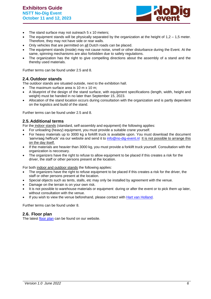

- The stand surface may not outreach 5 x 10 meters;
- The equipment stands will be physically separated by the organization at the height of  $1,2 1,5$  meter. Therefore, they may not have side or rear walls.
- Only vehicles that are permitted on all Dutch roads can be placed.
- The equipment stands (inside) may not cause noise, smell or other disturbance during the Event. At the same, spinning mechanisms are also forbidden due to safety regulations.
- The organization has the right to give compelling directions about the assembly of a stand and the thereby used materials.

Further terms can be found under 2.5 and 8.

#### <span id="page-5-0"></span>**2.4.Outdoor stands**

The outdoor stands are situated outside, next to the exhibition hall.

- The maximum surface area is 10 m x 10 m;
- A blueprint of the design of the stand surface, with equipment specifications (length, width, height and weight) must be handed in no later than September 15, 2023.
- Allocation of the stand location occurs during consultation with the organization and is partly dependent on the logistics and build of the stand.

Further terms can be found under 2.5 and 8.

#### <span id="page-5-1"></span>**2.5.Additional terms**

For the indoor stands (standard, self-assembly and equipment) the following applies:

- For unloading (heavy) equipment, you must provide a suitable crane yourself.
- For heavy materials up to 3000 kg a forklift truck is available upon. You must download the document 'aanvraag heftruck' via our website and send it to [info@no-dig-event.nl](mailto:info@no-dig-event.nl) It is not possible to arrange this on the day itself.
- If the materials are heavier than 3000 kg, you must provide a forklift truck yourself. Consultation with the organization is neccesary.
- The organizers have the right to refuse to allow equipment to be placed if this creates a risk for the driver, the staff or other persons present at the location.

For both indoor and outdoor stands the following applies:

- The organizers have the right to refuse equipment to be placed if this creates a risk for the driver, the staff or other persons present at the location.
- Special objects such as tents, stalls, etc may only be installed by agreement with the venue.
- Damage on the terrain is on your own risk.
- It is not possible to warehouse materials or equipment during or after the event or to pick them up later, without consultation with the venue.
- If you wish to view the venue beforehand, please contact with [Hart van Holland.](mailto:info@hartvanholland.nl)

Further terms can be found under 8.

#### <span id="page-5-2"></span>**2.6. Floor plan**

The latest [floor plan](https://www.nstt.nl/download/type/document/id/142) can be found on our website.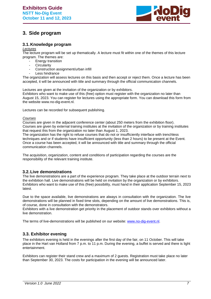

## <span id="page-6-0"></span>**3. Side program**

#### <span id="page-6-1"></span>**3.1.Knowledge program**

#### *Lectures*

The lecture program will be set up thematically. A lecture must fit within one of the themes of this lecture program. The themes are:

- **Energy transition**
- **Circularity**
- Construction assignment/urban infill
- Less hindrance

The organization will assess lectures on this basis and then accept or reject them. Once a lecture has been accepted, it will be announced with title and summary through the official communication channels.

Lectures are given at the invitation of the organization or by exhibitors.

Exhibitors who want to make use of this (free) option must register with the organization no later than August 15, 2023. You can register for lectures using the appropriate form. You can download this form from the website www.no-dig-event.nl.

Lectures can be recorded for subsequent publishing.

#### *Courses*

Courses are given in the adjacent conference center (about 250 meters from the exhibition floor). Courses are given by external training institutes at the invitation of the organization or by training institutes that request this from the organization no later than August 1, 2023.

The organization has the right to refuse courses that do not or insufficiently interface with trenchless techniques and or if students have insufficient opportunity (less than 2 hours) to be present at the Event. Once a course has been accepted, it will be announced with title and summary through the official communication channels.

The acquisition, organization, content and conditions of participation regarding the courses are the responsibility of the relevant training institute.

#### <span id="page-6-2"></span>**3.2.Live demonstrations**

The live demonstrations are a part of the experience program. They take place at the outdoor terrain next to the exhibition hall. Live demonstrations will be held on invitation by the organization or by exhibitors. Exhibitors who want to make use of this (free) possibility, must hand in their application September 15, 2023 latest.

Due to the space available, live demonstrations are always in consultation with the organization. The live demonstrations will be planned in fixed time slots, depending on the amount of live demonstrations. This is, of course, done in consultation with the demonstrators.

Exhibitors with a live demonstration get priority in the placement of outdoor stands over exhibitors without a live demonstration.

The terms of live-demonstrations will be published on our website: [www.no-dig-event.nl.](http://www.no-dig-event.nl/)

#### <span id="page-6-3"></span>**3.3. Exhibitor evening**

The exhibitors evening is held in the evenings after the first day of the fair, on 11 October. This will take place in the Hart van Holland from 7 p.m. to 11 p.m. During the evening, a buffet is served and there is light entertainment.

Exhibitors can register their stand crew and a maximum of 2 guests. Registration must take place no later than September 30, 2023. The costs for participation in the evening will be announced later.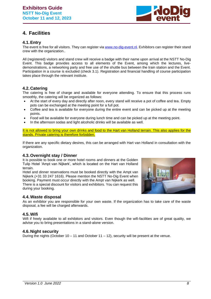

## <span id="page-7-0"></span>**4. Facilities**

#### <span id="page-7-1"></span>**4.1.Entry**

The event is free for all visitors. They can register via [www.no-dig-event.nl.](http://www.no-dig-event.nl/) Exhibitors can register their stand crew with the organization..

All (registered) visitors and stand crew will receive a badge with their name upon arrival at the NSTT No-Dig Event. This badge provides access to all elements of the Event, among which the lectures, livedemonstrations, a networking party and free use of the shuttle bus between the train station and the Event. Participation in a course is excluded (check 3.1). Registration and financial handling of course participation takes place through the relevant institute.

#### <span id="page-7-2"></span>**4.2.Catering**

The catering is free of charge and available for everyone attending. To ensure that this process runs smoothly, the catering will be organized as follows:

- At the start of every day and directly after noon, every stand will receive a pot of coffee and tea. Empty pots can be exchanged at the meeting point for a full pot.
- Coffee and tea is available for everyone during the entire event and can be picked up at the meeting points.
- Food will be available for everyone during lunch time and can be picked up at the meeting point.
- In the afternoon sodas and light alcoholic drinks will be available as well.

It is not allowed to bring your own drinks and food to the Hart van Holland terrain. This also applies for the stands. Private catering is therefore forbidden.

If there are any specific dietary desires, this can be arranged with Hart van Holland in consultation with the organization.

#### <span id="page-7-3"></span>**4.3.Overnight stay / Dinner**

It is possible to book one or more hotel rooms and dinners at the Golden Tulip Hotel 'Ampt van Nijkerk', which is located on the Hart van Holland terrain.

Hotel and dinner reservations must be booked directly with the Ampt van Nijkerk (+31 33 247 1616). Please mention the NSTT No-Dig Event when booking. Payment must occur directly with the Ampt van Nijkerk as well. There is a special discount for visitors and exhibitors. You can request this during your booking.



#### <span id="page-7-4"></span>**4.4.Waste disposal**

As an exhibitor you are responsible for your own waste. If the organization has to take care of the waste disposal, a fee will be charged afterwards.

#### <span id="page-7-5"></span>**4.5.Wifi**

Wifi if freely available to all exhibitors and visitors. Even though the wifi-facilities are of great quality, we advise you to bring presentations in a stand-alone version.

#### <span id="page-7-6"></span>**4.6.Night security**

During the nights (October 10 – 11 and October 11 – 12), security will be present at the venue.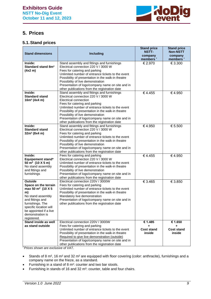

## <span id="page-8-0"></span>**5. Prices**

### <span id="page-8-1"></span>**5.1.Stand prices**

| <b>Stand dimensions</b>                                                                                                                                                                                                           | <b>Including</b>                                                                                                                                                                                                                                                                                                                                                                                   | <b>Stand price</b><br><b>NSTT-</b><br>company<br>members' | <b>Stand price</b><br><b>Non-NSTT</b><br>company<br>members' |
|-----------------------------------------------------------------------------------------------------------------------------------------------------------------------------------------------------------------------------------|----------------------------------------------------------------------------------------------------------------------------------------------------------------------------------------------------------------------------------------------------------------------------------------------------------------------------------------------------------------------------------------------------|-----------------------------------------------------------|--------------------------------------------------------------|
| Inside:<br>Standard stand 8m <sup>2</sup><br>(4x2 m)                                                                                                                                                                              | Stand assembly and fittings and furnishings<br>Electrical connection 220 V / 3000 W<br>Fees for catering and parking<br>Unlimited number of entrance tickets to the event<br>Possibility of presentation in the walk-in theatre<br>Possibility of live demonstration<br>Presentation of logo/company name on site and in<br>other publications from the registration date                          | € 2.970                                                   | € 3.300                                                      |
| Inside:<br><b>Standard stand</b><br>$16m^2$ (4x4 m)                                                                                                                                                                               | Stand assembly and fittings and furnishings<br>Electrical connection 220 V / 3000 W<br>Electrical connection<br>Fees for catering and parking<br>Unlimited number of entrance tickets to the event<br>Possibility of presentation in the walk-in theatre<br>Possibility of live demonstration<br>Presentation of logo/company name on site and in<br>other publications from the registration date | €4.455                                                    | €4.950                                                       |
| Inside:<br><b>Standard stand</b><br>$32m^2 (8x4 m)$                                                                                                                                                                               | Stand assembly and fittings and furnishings<br>Electrical connection 220 V / 3000 W<br>Fees for catering and parking<br>Unlimited number of entrance tickets to the event<br>Possibility of presentation in the walk-in theatre<br>Possibility of live demonstration<br>Presentation of logo/company name on site and in<br>other publications from the registration date                          | €4.950                                                    | € 5.500                                                      |
| Inside:<br>Equipement stand*<br>50 m <sup>2</sup> (10 X 5 m)<br>No stand assembly<br>and fittings and<br>furnishings                                                                                                              | Fees for catering and parking<br>Electrical connection 220 V / 3000 W<br>Unlimited number of entrance tickets to the event<br>Possibility of presentation in the walk-in theatre<br>Possibility of live demonstration<br>Presentation of logo/company name on site and in<br>other publications from the registration date                                                                         | €4.455                                                    | €4.950                                                       |
| <b>Outside</b><br>Space on the terrain<br>max 50 m <sup>2</sup> (10 X 5<br>m)<br>No stand assembly<br>and fittings and<br>furnishings. The<br>specific location will<br>be appointed if a live<br>demonstration is<br>registered. | Electrical connection 220V / 3000W<br>Fees for catering and parking<br>Unlimited number of entrance tickets to the event<br>Possibility of presentation in the walk-in theatre<br>Mandatory live demonstration<br>Presentation of logo/company name on site and in<br>other publications from the registration date                                                                                | € 3.465                                                   | € 3.850                                                      |
| Stand inside as well<br>as stand outside                                                                                                                                                                                          | Electrical connection 220V / 3000W<br>Fees for catering and parking<br>Unlimited number of entrance tickets to the event<br>Possibility of presentation in the walk-in theatre<br>Required to give live demonstration (outside)<br>Presentation of logo/company name on site and in<br>other publications from the registration date                                                               | € 1.485<br>٠<br><b>Cost stand</b><br>inside               | € 1.650<br>÷<br><b>Cost stand</b><br>inside                  |

*\* Prices shown are exclusive of VAT.*

- Stands of 8 m<sup>2</sup>, 16 m<sup>2</sup> and 32 m<sup>2</sup> are equipped with floor covering (color: anthracite), furnishings and a company name on the frieze, as a standard.
- Furnishing in a stand of 8 m²: counter and two bar stools.
- Furnishing in stands of 16 and 32 m²: counter, table and four chairs.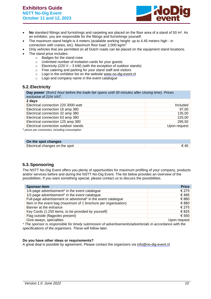

- **No** standard fittings and furnishings and carpeting are placed on the floor area of a stand of 50 m². As an exhibitor, you are responsible for the fittings and furnishings yourself.
- The maximum stand height is 4 meters (available working height: up to 4.45 meters high in connection with cranes, etc). Maximum floor load: 2,000 kg/m<sup>2</sup>
- Only vehicles that are permitted on all Dutch roads can be placed on the equipment stand locations.
- The stand price includes:
	- o Badges for the stand crew
	- $\circ$  Unlimited number of invitation cards for your quests
	- $\circ$  Electricity (220 V 3 kW) (with the exception of outdoor stands)
	- o Free catering and parking for your stand staff and visitors
	- o Logo in the exhibitor list on the website [www.no-dig-event.nl](http://www.no-dig-event.nl/)
	- o Logo and company name in the event catalogue

#### <span id="page-9-0"></span>**5.2.Electricity**

**Day power**\* *(from1 hour before the trade fair opens until 30 minutes after closing time). Prices exclusive of 21% VAT.*

| 2 days                                                                                                         |              |
|----------------------------------------------------------------------------------------------------------------|--------------|
| Electrical connection 220 3000 watt                                                                            | Included     |
| Electrical connection 16 amp 380                                                                               | 97.00        |
| Electrical connection 32 amp 380                                                                               | 135,00       |
| Electrical connection 63 amp 380                                                                               | 225,00       |
| Electrical connection 125 amp 380                                                                              | 295,50       |
| Electrical connection outdoor stands                                                                           | Upon request |
| in ilma na manaza na na natin'il dia dia dia kaominina dia mpikambana amin'ny fivondronan-kaominin'i Amerika m |              |

*\* prices per connection, including consumption*

| On the spot changes            |  |
|--------------------------------|--|
| Electrical changes on the spot |  |

#### <span id="page-9-1"></span>**5.3.Sponsoring**

The NSTT No-Dig Event offers you plenty of opportunities for maximum profiling of your company, products and/or services before and during the NSTT No-Dig Event. The list below provides an overview of the possibilities. If you want something special, please contact us to discuss the possibilities.

| <b>Sponsor-item</b>                                            | <b>Price</b>   |
|----------------------------------------------------------------|----------------|
| 1/4-page advertisement <sup>*</sup> in the event catalogue     | € 275          |
| 1/2-page advertisement* in the event catalogue                 | €495           |
| Full-page advertisement or advertorial* in the event catalogue | € 880          |
| Item in the event bag (maximum of 1 brochure per organisation) | € 880          |
| Banner at the entrance                                         | $\epsilon$ 275 |
| Key Cords (1.250 items, to be provided by yourself)            | €825           |
| Flag outside (flagpoles present)                               | € 550          |
| Give-aways, specialties                                        | Upon request   |
|                                                                |                |

*\* The sponsor is responsible for timely submission of advertisements/advertorials in accordance with the specifications of the organisers. These will follow later.*

#### **Do you have other ideas or requirements?**

A great deal is possible by agreement. Please contact the organizers via [info@no-dig-event.nl](mailto:info@no-dig-event.nl)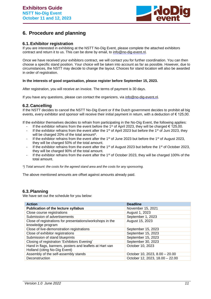

## <span id="page-10-0"></span>**6. Procedure and planning**

#### <span id="page-10-1"></span>**6.1.Exhibitor registration**

If you are interested in exhibiting at the NSTT No-Dig Event, please complete the attached exhibitors contract and return it to us. This can be done by email, to [info@no-dig-event.nl.](mailto:info@no-dig-event.nl)

Once we have received your exhibitors contract, we will contact you for further coordination. You can then choose a specific stand position. Your choice will be taken into account as far as possible. However, due to circumstances, the NSTT may decide to change the layout. Choices for stand location will also be awarded in order of registration.

#### **In the interests of good organisation, please register before September 15, 2023.**

After registration, you will receive an invoice. The terms of payment is 30 days.

If you have any questions, please can contact the organizers, via [info@no-dig-event.nl.](mailto:info@no-dig-event.nl)

#### <span id="page-10-2"></span>**6.2.Cancelling**

If the NSTT decides to cancel the NSTT No-Dig Event or if the Dutch government decides to prohibit all big events, every exhibitor and sponsor will receive their initial payment in return, with a deduction of  $\epsilon$  125,00.

If the exhibitor themselves decides to refrain from participating in the No-Dig Event, the following applies:

- If the exhibitor refrains from the event before the 1<sup>st</sup> of April 2023, they will be charged  $\epsilon$  125,00.
- If the exhibitor refrains from the event after the 1<sup>st</sup> of April 2023 but before the 1<sup>st</sup> of Juni 2023, they will be charged 20% of the total amount\*.
- If the exhibitor refrains from the event after the 1<sup>st</sup> of June 2023 but before the 1<sup>st</sup> of August 2023, they will be charged 50% of the total amount.
- If the exhibitor refrains from the event after the 1<sup>st</sup> of August 2023 but before the 1<sup>st</sup> of October 2023, they will be charged 90% of the total amount.
- If the exhibitor refrains from the event after the 1<sup>st</sup> of October 2023, they will be charged 100% of the total amount.

*\*) Total amount: the costs for the agreed stand area and the costs for any sponsoring.*

The above mentioned amounts are offset against amounts already paid.

#### <span id="page-10-3"></span>**6.3.Planning**

We have set out the schedule for you below:

| <b>Action</b>                                             | <b>Deadline</b>                 |  |
|-----------------------------------------------------------|---------------------------------|--|
| <b>Publication of the lecture syllabus</b>                | November 15, 2021               |  |
| Close course registrations                                | August 1, 2023                  |  |
| Submission of advertisements                              | September 1, 2023               |  |
| Close of registrations for presentations/workshops in the | August 15, 2023                 |  |
| knowledge program                                         |                                 |  |
| Close of live-demonstration registrations                 | September 15, 2023              |  |
| Close of exhibitor registrations                          | September 15, 2023              |  |
| Submission of stand blueprints                            | September 15, 2023              |  |
| Closing of registration 'Exhibitors Evening'              | September 30, 2023              |  |
| Hand in flags, banners, posters and leaflets at Hart van  | October 10, 2023                |  |
| Holland (citing No-Dig Event)                             |                                 |  |
| Assembly of the self-assembly stands                      | October 10, 2023, 8.00 - 20.00  |  |
| Deconstruction                                            | October 12, 2023, 18.00 - 22.00 |  |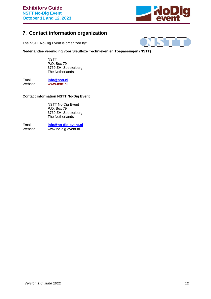

## <span id="page-11-0"></span>**7. Contact information organization**

The NSTT No-Dig Event is organized by:



**Nederlandse vereniging voor Sleufloze Technieken en Toepassingen (NSTT)**

**NSTT** P.O. Box 79 3769 ZH Soesterberg The Netherlands

Email **[info@nstt.nl](mailto:info@nstt.nl)**<br>
Website **www.nstt.nl** [www.nstt.nl](http://www.nstt.nl/)

#### **Contact information NSTT No-Dig Event**

NSTT No-Dig Event P.O. Box 79 3769 ZH Soesterberg The Netherlands

Email **[info@no-dig-event.nl](mailto:info@no-dig-event.nl)**<br>
Website www.no-dig-event.nl www.no-dig-event.nl